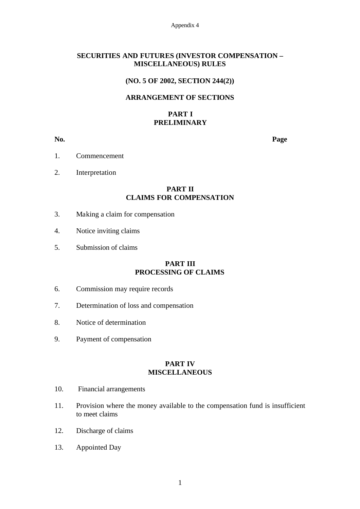Appendix 4

## **SECURITIES AND FUTURES (INVESTOR COMPENSATION – MISCELLANEOUS) RULES**

## **(NO. 5 OF 2002, SECTION 244(2))**

# **ARRANGEMENT OF SECTIONS**

# **PART I PRELIMINARY**

**No. Page**

- 1. Commencement
- 2. Interpretation

# **PART II CLAIMS FOR COMPENSATION**

- 3. Making a claim for compensation
- 4. Notice inviting claims
- 5. Submission of claims

## **PART III PROCESSING OF CLAIMS**

- 6. Commission may require records
- 7. Determination of loss and compensation
- 8. Notice of determination
- 9. Payment of compensation

## **PART IV MISCELLANEOUS**

- 10. Financial arrangements
- 11. Provision where the money available to the compensation fund is insufficient to meet claims
- 12. Discharge of claims
- 13. Appointed Day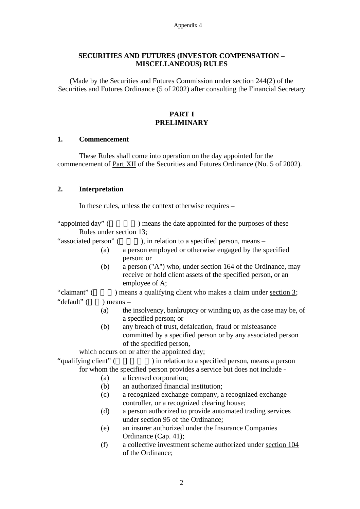# **SECURITIES AND FUTURES (INVESTOR COMPENSATION – MISCELLANEOUS) RULES**

(Made by the Securities and Futures Commission under section 244(2) of the Securities and Futures Ordinance (5 of 2002) after consulting the Financial Secretary

# **PART I PRELIMINARY**

## **1. Commencement**

These Rules shall come into operation on the day appointed for the commencement of Part XII of the Securities and Futures Ordinance (No. 5 of 2002).

# **2. Interpretation**

In these rules, unless the context otherwise requires –

"appointed day" () means the date appointed for the purposes of these Rules under section 13;

- "associated person" (), in relation to a specified person, means
	- (a) a person employed or otherwise engaged by the specified person; or
	- (b) a person ("A") who, under section 164 of the Ordinance, may receive or hold client assets of the specified person, or an employee of A;

"claimant" ( $\qquad$ ) means a qualifying client who makes a claim under section 3; "default"  $($   $)$  means –

- (a) the insolvency, bankruptcy or winding up, as the case may be, of a specified person; or
- (b) any breach of trust, defalcation, fraud or misfeasance committed by a specified person or by any associated person of the specified person,

which occurs on or after the appointed day;

"qualifying client" (  $\qquad \qquad$  ) in relation to a specified person, means a person for whom the specified person provides a service but does not include -

- (a) a licensed corporation;
- (b) an authorized financial institution;
- (c) a recognized exchange company, a recognized exchange controller, or a recognized clearing house;
- (d) a person authorized to provide automated trading services under section 95 of the Ordinance;
- (e) an insurer authorized under the Insurance Companies Ordinance (Cap. 41);
- (f) a collective investment scheme authorized under section 104 of the Ordinance;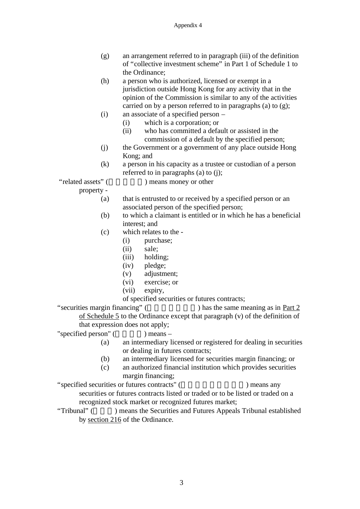- (g) an arrangement referred to in paragraph (iii) of the definition of "collective investment scheme" in Part 1 of Schedule 1 to the Ordinance;
- (h) a person who is authorized, licensed or exempt in a jurisdiction outside Hong Kong for any activity that in the opinion of the Commission is similar to any of the activities carried on by a person referred to in paragraphs (a) to (g);
- (i) an associate of a specified person
	- (i) which is a corporation; or
		- (ii) who has committed a default or assisted in the commission of a default by the specified person;
- (j) the Government or a government of any place outside Hong Kong; and
- (k) a person in his capacity as a trustee or custodian of a person referred to in paragraphs (a) to (j);

"related assets" ( ) means money or other

property -

- (a) that is entrusted to or received by a specified person or an associated person of the specified person;
- (b) to which a claimant is entitled or in which he has a beneficial interest; and
- (c) which relates to the
	- (i) purchase;
	- (ii) sale;
	- (iii) holding;
	- (iv) pledge;
	- (v) adjustment;
	- (vi) exercise; or
	- (vii) expiry,

of specified securities or futures contracts;

"securities margin financing"  $($ ) has the same meaning as in Part 2 of Schedule 5 to the Ordinance except that paragraph (v) of the definition of that expression does not apply;

- "specified person"  $($   $)$  means
	-
	- (a) an intermediary licensed or registered for dealing in securities or dealing in futures contracts;
	- (b) an intermediary licensed for securities margin financing; or
	- (c) an authorized financial institution which provides securities margin financing;
- "specified securities or futures contracts" (  $\qquad \qquad$ ) means any securities or futures contracts listed or traded or to be listed or traded on a recognized stock market or recognized futures market;
- "Tribunal" ( ) means the Securities and Futures Appeals Tribunal established by section 216 of the Ordinance.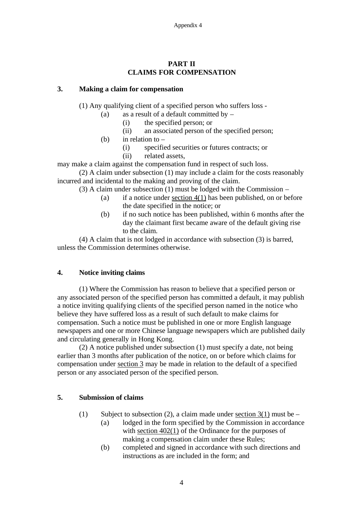# **PART II CLAIMS FOR COMPENSATION**

## **3. Making a claim for compensation**

(1) Any qualifying client of a specified person who suffers loss -

- (a) as a result of a default committed by  $-$ 
	- (i) the specified person; or
	- (ii) an associated person of the specified person;
- (b) in relation to  $-$ 
	- (i) specified securities or futures contracts; or
	- (ii) related assets,

may make a claim against the compensation fund in respect of such loss.

(2) A claim under subsection (1) may include a claim for the costs reasonably incurred and incidental to the making and proving of the claim.

- (3) A claim under subsection (1) must be lodged with the Commission
	- (a) if a notice under section  $4(1)$  has been published, on or before the date specified in the notice; or
	- (b) if no such notice has been published, within 6 months after the day the claimant first became aware of the default giving rise to the claim.

(4) A claim that is not lodged in accordance with subsection (3) is barred, unless the Commission determines otherwise.

# **4. Notice inviting claims**

(1) Where the Commission has reason to believe that a specified person or any associated person of the specified person has committed a default, it may publish a notice inviting qualifying clients of the specified person named in the notice who believe they have suffered loss as a result of such default to make claims for compensation. Such a notice must be published in one or more English language newspapers and one or more Chinese language newspapers which are published daily and circulating generally in Hong Kong.

(2) A notice published under subsection (1) must specify a date, not being earlier than 3 months after publication of the notice, on or before which claims for compensation under section 3 may be made in relation to the default of a specified person or any associated person of the specified person.

# **5. Submission of claims**

- (1) Subject to subsection (2), a claim made under section  $3(1)$  must be
	- (a) lodged in the form specified by the Commission in accordance with section  $402(1)$  of the Ordinance for the purposes of making a compensation claim under these Rules;
	- (b) completed and signed in accordance with such directions and instructions as are included in the form; and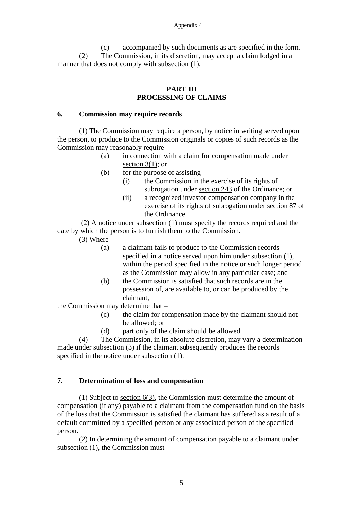(c) accompanied by such documents as are specified in the form. (2) The Commission, in its discretion, may accept a claim lodged in a manner that does not comply with subsection (1).

## **PART III PROCESSING OF CLAIMS**

## **6. Commission may require records**

(1) The Commission may require a person, by notice in writing served upon the person, to produce to the Commission originals or copies of such records as the Commission may reasonably require –

- (a) in connection with a claim for compensation made under section  $3(1)$ ; or
- (b) for the purpose of assisting
	- (i) the Commission in the exercise of its rights of subrogation under section 243 of the Ordinance; or
	- (ii) a recognized investor compensation company in the exercise of its rights of subrogation under section 87 of the Ordinance.

 (2) A notice under subsection (1) must specify the records required and the date by which the person is to furnish them to the Commission.

 $(3)$  Where –

- (a) a claimant fails to produce to the Commission records specified in a notice served upon him under subsection (1), within the period specified in the notice or such longer period as the Commission may allow in any particular case; and
- (b) the Commission is satisfied that such records are in the possession of, are available to, or can be produced by the claimant,

the Commission may determine that –

- (c) the claim for compensation made by the claimant should not be allowed; or
- (d) part only of the claim should be allowed.

(4) The Commission, in its absolute discretion, may vary a determination made under subsection (3) if the claimant subsequently produces the records specified in the notice under subsection (1).

# **7. Determination of loss and compensation**

(1) Subject to section 6(3), the Commission must determine the amount of compensation (if any) payable to a claimant from the compensation fund on the basis of the loss that the Commission is satisfied the claimant has suffered as a result of a default committed by a specified person or any associated person of the specified person.

(2) In determining the amount of compensation payable to a claimant under subsection (1), the Commission must –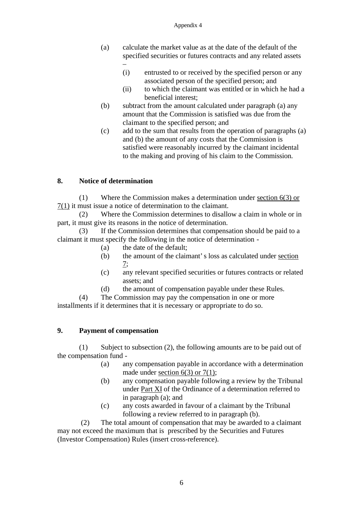- (a) calculate the market value as at the date of the default of the specified securities or futures contracts and any related assets –
	- (i) entrusted to or received by the specified person or any associated person of the specified person; and
	- (ii) to which the claimant was entitled or in which he had a beneficial interest;
- (b) subtract from the amount calculated under paragraph (a) any amount that the Commission is satisfied was due from the claimant to the specified person; and
- (c) add to the sum that results from the operation of paragraphs (a) and (b) the amount of any costs that the Commission is satisfied were reasonably incurred by the claimant incidental to the making and proving of his claim to the Commission.

# **8. Notice of determination**

(1) Where the Commission makes a determination under section 6(3) or 7(1) it must issue a notice of determination to the claimant.

(2) Where the Commission determines to disallow a claim in whole or in part, it must give its reasons in the notice of determination.

(3) If the Commission determines that compensation should be paid to a claimant it must specify the following in the notice of determination -

- (a) the date of the default;
- (b) the amount of the claimant's loss as calculated under section 7;
- (c) any relevant specified securities or futures contracts or related assets; and
- (d) the amount of compensation payable under these Rules.

(4) The Commission may pay the compensation in one or more installments if it determines that it is necessary or appropriate to do so.

# **9. Payment of compensation**

(1) Subject to subsection (2), the following amounts are to be paid out of the compensation fund -

- (a) any compensation payable in accordance with a determination made under section  $6(3)$  or  $7(1)$ ;
- (b) any compensation payable following a review by the Tribunal under Part XI of the Ordinance of a determination referred to in paragraph (a); and
- (c) any costs awarded in favour of a claimant by the Tribunal following a review referred to in paragraph (b).

(2) The total amount of compensation that may be awarded to a claimant may not exceed the maximum that is prescribed by the Securities and Futures (Investor Compensation) Rules (insert cross-reference).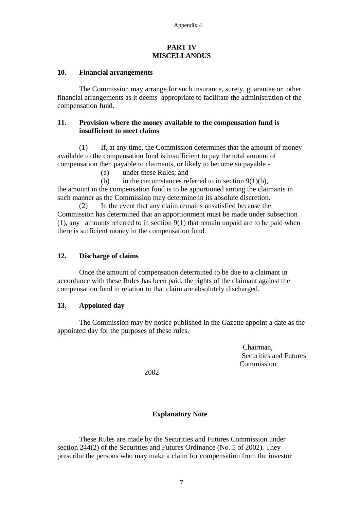#### **PART IV MISCELLANOUS**

## **10. Financial arrangements**

The Commission may arrange for such insurance, surety, guarantee or other financial arrangements as it deems appropriate to facilitate the administration of the compensation fund.

## **11. Provision where the money available to the compensation fund is insufficient to meet claims**

(1) If, at any time, the Commission determines that the amount of money available to the compensation fund is insufficient to pay the total amount of compensation then payable to claimants, or likely to become so payable -

(a) under these Rules; and

(b) in the circumstances referred to in section  $9(1)(b)$ , the amount in the compensation fund is to be apportioned among the claimants in such manner as the Commission may determine in its absolute discretion.

(2) In the event that any claim remains unsatisfied because the Commission has determined that an apportionment must be made under subsection (1), any amounts referred to in section 9(1) that remain unpaid are to be paid when there is sufficient money in the compensation fund.

# **12. Discharge of claims**

Once the amount of compensation determined to be due to a claimant in accordance with these Rules has been paid, the rights of the claimant against the compensation fund in relation to that claim are absolutely discharged.

#### **13. Appointed day**

The Commission may by notice published in the Gazette appoint a date as the appointed day for the purposes of these rules.

> Chairman, Securities and Futures Commission

2002

## **Explanatory Note**

These Rules are made by the Securities and Futures Commission under section 244(2) of the Securities and Futures Ordinance (No. 5 of 2002). They prescribe the persons who may make a claim for compensation from the investor